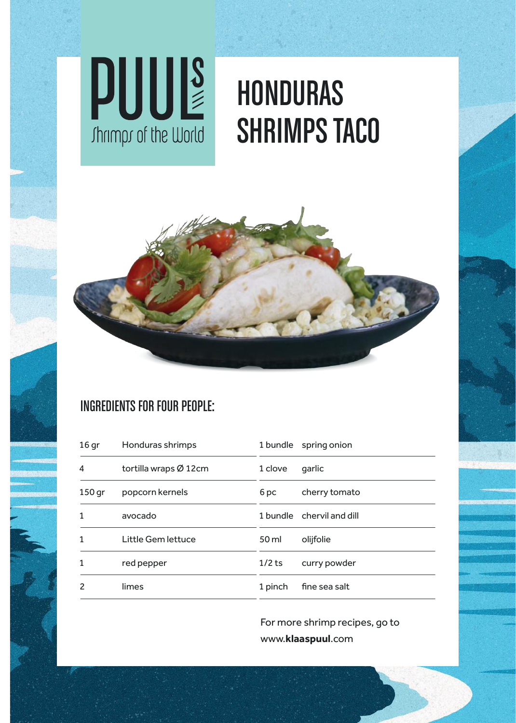

# Superior of the World

## HONDURAS SHRIMPS TACO



### INGREDIENTS FOR FOUR PEOPLE:

| 16 <sub>qr</sub> | Honduras shrimps      | 1 bundle | spring onion              |
|------------------|-----------------------|----------|---------------------------|
| 4                | tortilla wraps Ø 12cm | 1 clove  | garlic                    |
| 150 gr           | popcorn kernels       | 6 pc     | cherry tomato             |
| 1                | avocado               |          | 1 bundle chervil and dill |
|                  | Little Gem lettuce    | 50 ml    | olijfolie                 |
|                  | red pepper            | $1/2$ ts | curry powder              |
|                  | limes                 | 1 pinch  | fine sea salt             |
|                  |                       |          |                           |

For more shrimp recipes, go to www.**klaaspuul**.com